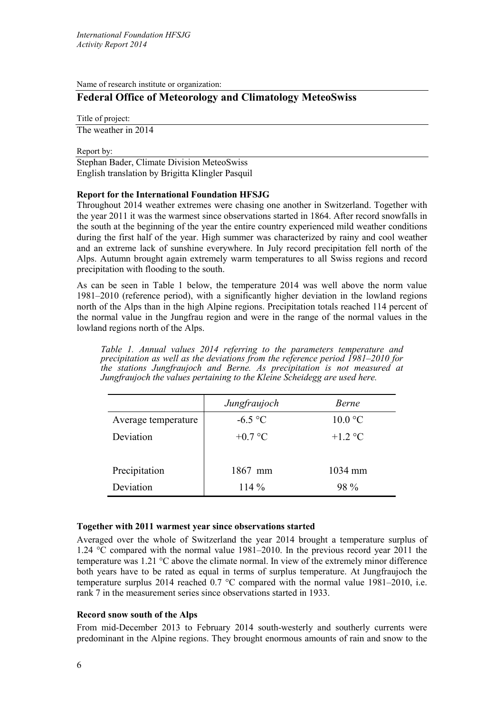Name of research institute or organization:

# **Federal Office of Meteorology and Climatology MeteoSwiss**

Title of project:

The weather in 2014

Report by:

Stephan Bader, Climate Division MeteoSwiss English translation by Brigitta Klingler Pasquil

# **Report for the International Foundation HFSJG**

Throughout 2014 weather extremes were chasing one another in Switzerland. Together with the year 2011 it was the warmest since observations started in 1864. After record snowfalls in the south at the beginning of the year the entire country experienced mild weather conditions during the first half of the year. High summer was characterized by rainy and cool weather and an extreme lack of sunshine everywhere. In July record precipitation fell north of the Alps. Autumn brought again extremely warm temperatures to all Swiss regions and record precipitation with flooding to the south.

As can be seen in Table 1 below, the temperature 2014 was well above the norm value 1981‒2010 (reference period), with a significantly higher deviation in the lowland regions north of the Alps than in the high Alpine regions. Precipitation totals reached 114 percent of the normal value in the Jungfrau region and were in the range of the normal values in the lowland regions north of the Alps.

*Table 1. Annual values 2014 referring to the parameters temperature and precipitation as well as the deviations from the reference period 1981‒2010 for the stations Jungfraujoch and Berne. As precipitation is not measured at Jungfraujoch the values pertaining to the Kleine Scheidegg are used here.*

|                     | Jungfraujoch | <i>Berne</i>     |
|---------------------|--------------|------------------|
| Average temperature | $-6.5$ °C    | $10.0 \degree C$ |
| Deviation           | $+0.7$ °C    | $+1.2$ °C        |
| Precipitation       | 1867 mm      | 1034 mm          |
| Deviation           | $114\%$      | 98 %             |

## **Together with 2011 warmest year since observations started**

Averaged over the whole of Switzerland the year 2014 brought a temperature surplus of 1.24 °C compared with the normal value 1981–2010. In the previous record year 2011 the temperature was 1.21 °C above the climate normal. In view of the extremely minor difference both years have to be rated as equal in terms of surplus temperature. At Jungfraujoch the temperature surplus 2014 reached 0.7 °C compared with the normal value 1981–2010, i.e. rank 7 in the measurement series since observations started in 1933.

## **Record snow south of the Alps**

From mid-December 2013 to February 2014 south-westerly and southerly currents were predominant in the Alpine regions. They brought enormous amounts of rain and snow to the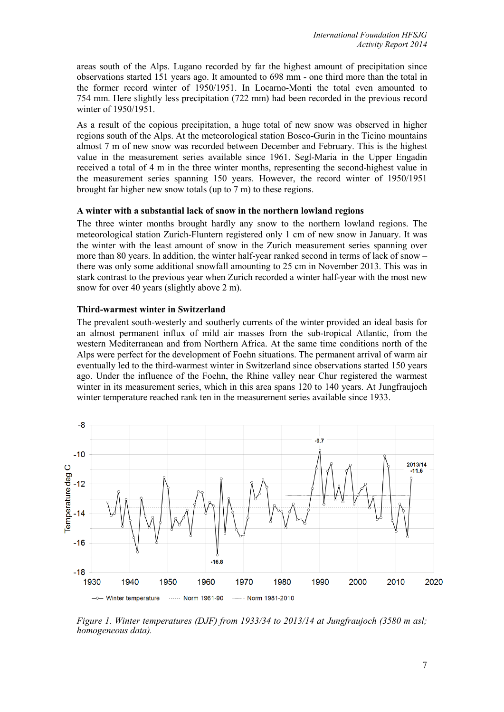areas south of the Alps. Lugano recorded by far the highest amount of precipitation since observations started 151 years ago. It amounted to 698 mm - one third more than the total in the former record winter of 1950/1951. In Locarno-Monti the total even amounted to 754 mm. Here slightly less precipitation (722 mm) had been recorded in the previous record winter of 1950/1951.

As a result of the copious precipitation, a huge total of new snow was observed in higher regions south of the Alps. At the meteorological station Bosco-Gurin in the Ticino mountains almost 7 m of new snow was recorded between December and February. This is the highest value in the measurement series available since 1961. Segl-Maria in the Upper Engadin received a total of 4 m in the three winter months, representing the second-highest value in the measurement series spanning 150 years. However, the record winter of 1950/1951 brought far higher new snow totals (up to 7 m) to these regions.

### **A winter with a substantial lack of snow in the northern lowland regions**

The three winter months brought hardly any snow to the northern lowland regions. The meteorological station Zurich-Fluntern registered only 1 cm of new snow in January. It was the winter with the least amount of snow in the Zurich measurement series spanning over more than 80 years. In addition, the winter half-year ranked second in terms of lack of snow – there was only some additional snowfall amounting to 25 cm in November 2013. This was in stark contrast to the previous year when Zurich recorded a winter half-year with the most new snow for over 40 years (slightly above 2 m).

### **Third-warmest winter in Switzerland**

The prevalent south-westerly and southerly currents of the winter provided an ideal basis for an almost permanent influx of mild air masses from the sub-tropical Atlantic, from the western Mediterranean and from Northern Africa. At the same time conditions north of the Alps were perfect for the development of Foehn situations. The permanent arrival of warm air eventually led to the third-warmest winter in Switzerland since observations started 150 years ago. Under the influence of the Foehn, the Rhine valley near Chur registered the warmest winter in its measurement series, which in this area spans 120 to 140 years. At Jungfraujoch winter temperature reached rank ten in the measurement series available since 1933.



*Figure 1. Winter temperatures (DJF) from 1933/34 to 2013/14 at Jungfraujoch (3580 m asl; homogeneous data).*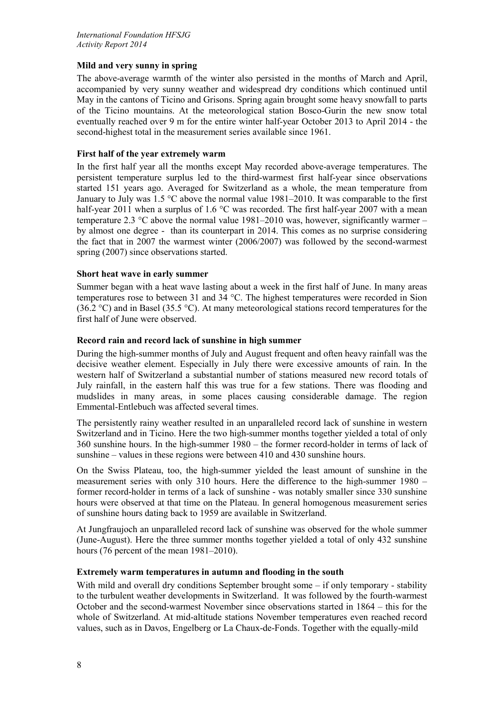## **Mild and very sunny in spring**

The above-average warmth of the winter also persisted in the months of March and April, accompanied by very sunny weather and widespread dry conditions which continued until May in the cantons of Ticino and Grisons. Spring again brought some heavy snowfall to parts of the Ticino mountains. At the meteorological station Bosco-Gurin the new snow total eventually reached over 9 m for the entire winter half-year October 2013 to April 2014 - the second-highest total in the measurement series available since 1961.

# **First half of the year extremely warm**

In the first half year all the months except May recorded above-average temperatures. The persistent temperature surplus led to the third-warmest first half-year since observations started 151 years ago. Averaged for Switzerland as a whole, the mean temperature from January to July was  $1.5 \text{ °C}$  above the normal value 1981–2010. It was comparable to the first half-year 2011 when a surplus of 1.6 °C was recorded. The first half-year 2007 with a mean temperature 2.3  $\degree$ C above the normal value 1981–2010 was, however, significantly warmer – by almost one degree - than its counterpart in 2014. This comes as no surprise considering the fact that in 2007 the warmest winter (2006/2007) was followed by the second-warmest spring (2007) since observations started.

# **Short heat wave in early summer**

Summer began with a heat wave lasting about a week in the first half of June. In many areas temperatures rose to between 31 and 34 °C. The highest temperatures were recorded in Sion (36.2 °C) and in Basel (35.5 °C). At many meteorological stations record temperatures for the first half of June were observed.

# **Record rain and record lack of sunshine in high summer**

During the high-summer months of July and August frequent and often heavy rainfall was the decisive weather element. Especially in July there were excessive amounts of rain. In the western half of Switzerland a substantial number of stations measured new record totals of July rainfall, in the eastern half this was true for a few stations. There was flooding and mudslides in many areas, in some places causing considerable damage. The region Emmental-Entlebuch was affected several times.

The persistently rainy weather resulted in an unparalleled record lack of sunshine in western Switzerland and in Ticino. Here the two high-summer months together yielded a total of only 360 sunshine hours. In the high-summer 1980 – the former record-holder in terms of lack of sunshine – values in these regions were between 410 and 430 sunshine hours.

On the Swiss Plateau, too, the high-summer yielded the least amount of sunshine in the measurement series with only 310 hours. Here the difference to the high-summer 1980 – former record-holder in terms of a lack of sunshine - was notably smaller since 330 sunshine hours were observed at that time on the Plateau. In general homogenous measurement series of sunshine hours dating back to 1959 are available in Switzerland.

At Jungfraujoch an unparalleled record lack of sunshine was observed for the whole summer (June-August). Here the three summer months together yielded a total of only 432 sunshine hours (76 percent of the mean 1981–2010).

## **Extremely warm temperatures in autumn and flooding in the south**

With mild and overall dry conditions September brought some – if only temporary - stability to the turbulent weather developments in Switzerland. It was followed by the fourth-warmest October and the second-warmest November since observations started in 1864 – this for the whole of Switzerland. At mid-altitude stations November temperatures even reached record values, such as in Davos, Engelberg or La Chaux-de-Fonds. Together with the equally-mild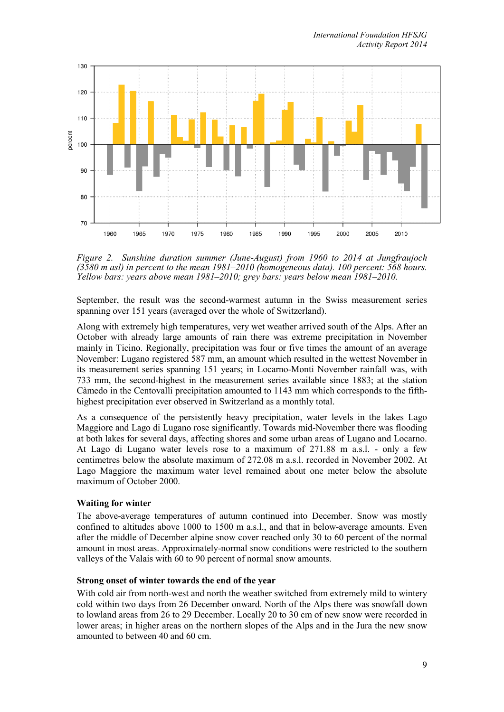

*Figure 2. Sunshine duration summer (June-August) from 1960 to 2014 at Jungfraujoch (3580 m asl) in percent to the mean 1981–2010 (homogeneous data). 100 percent: 568 hours. Yellow bars: years above mean 1981–2010; grey bars: years below mean 1981–2010.*

September, the result was the second-warmest autumn in the Swiss measurement series spanning over 151 years (averaged over the whole of Switzerland).

Along with extremely high temperatures, very wet weather arrived south of the Alps. After an October with already large amounts of rain there was extreme precipitation in November mainly in Ticino. Regionally, precipitation was four or five times the amount of an average November: Lugano registered 587 mm, an amount which resulted in the wettest November in its measurement series spanning 151 years; in Locarno-Monti November rainfall was, with 733 mm, the second-highest in the measurement series available since 1883; at the station Càmedo in the Centovalli precipitation amounted to 1143 mm which corresponds to the fifthhighest precipitation ever observed in Switzerland as a monthly total.

As a consequence of the persistently heavy precipitation, water levels in the lakes Lago Maggiore and Lago di Lugano rose significantly. Towards mid-November there was flooding at both lakes for several days, affecting shores and some urban areas of Lugano and Locarno. At Lago di Lugano water levels rose to a maximum of 271.88 m a.s.l. - only a few centimetres below the absolute maximum of 272.08 m a.s.l. recorded in November 2002. At Lago Maggiore the maximum water level remained about one meter below the absolute maximum of October 2000.

## **Waiting for winter**

The above-average temperatures of autumn continued into December. Snow was mostly confined to altitudes above 1000 to 1500 m a.s.l., and that in below-average amounts. Even after the middle of December alpine snow cover reached only 30 to 60 percent of the normal amount in most areas. Approximately-normal snow conditions were restricted to the southern valleys of the Valais with 60 to 90 percent of normal snow amounts.

#### **Strong onset of winter towards the end of the year**

With cold air from north-west and north the weather switched from extremely mild to wintery cold within two days from 26 December onward. North of the Alps there was snowfall down to lowland areas from 26 to 29 December. Locally 20 to 30 cm of new snow were recorded in lower areas; in higher areas on the northern slopes of the Alps and in the Jura the new snow amounted to between 40 and 60 cm.